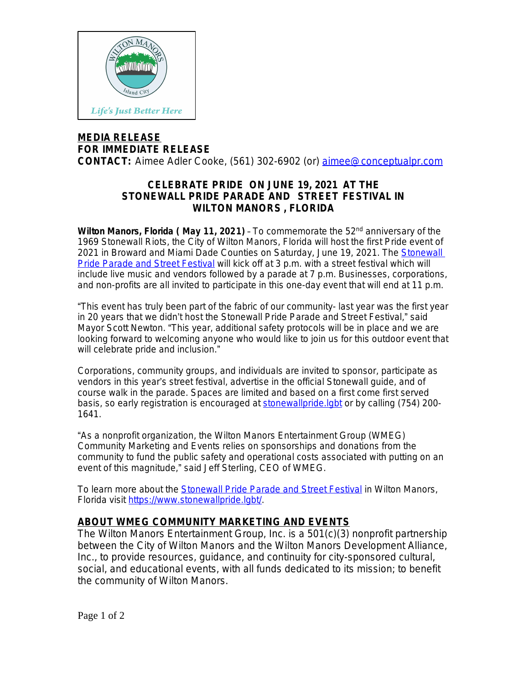

## **MEDIA RELEASE FOR IMMEDIATE RELEASE**

**CONTACT:** Aimee Adler Cooke, (561) 302-6902 (or) [aimee@conceptualpr.com](mailto:aimee@conceptualpr.com)

## **CELEBRATE PRIDE ON JUNE 19, 2021 AT THE STONEWALL PRIDE PARADE AND STREET FESTIVAL IN WILTON MANORS , FLORIDA**

**Wilton Manors, Florida ( May 11, 2021)** – To commemorate the 52nd anniversary of the 1969 Stonewall Riots, the City of Wilton Manors, Florida will host the first Pride event of 2021 in Broward and Miami Dade Counties on Saturday, June 19, 2021. The [Stonewall](https://bit.ly/3uDo2DY)  [Pride Parade and Street Festival](https://bit.ly/3uDo2DY) will kick off at 3 p.m. with a street festival which will include live music and vendors followed by a parade at 7 p.m. Businesses, corporations, and non-profits are all invited to participate in this one-day event that will end at 11 p.m.

"This event has truly been part of the fabric of our community- last year was the first year in 20 years that we didn't host the Stonewall Pride Parade and Street Festival," said Mayor Scott Newton. "This year, additional safety protocols will be in place and we are looking forward to welcoming anyone who would like to join us for this outdoor event that will celebrate pride and inclusion."

Corporations, community groups, and individuals are invited to sponsor, participate as vendors in this year's street festival, advertise in the official Stonewall guide, and of course walk in the parade. Spaces are limited and based on a first come first served basis, so early registration is encouraged at stonewallpride. labt or by calling (754) 200-1641.

"As a nonprofit organization, the Wilton Manors Entertainment Group (WMEG) Community Marketing and Events relies on sponsorships and donations from the community to fund the public safety and operational costs associated with putting on an event of this magnitude," said Jeff Sterling, CEO of WMEG.

To learn more about the [Stonewall Pride Parade and Street Festival](https://bit.ly/3uDo2DY) in Wilton Manors, Florida visit [https://www.stonewallpride.lgbt/.](https://www.stonewallpride.lgbt/)

## **ABOUT WMEG COMMUNITY MARKETING AND EVENTS**

The Wilton Manors Entertainment Group, Inc. is a 501(c)(3) nonprofit partnership between the City of Wilton Manors and the Wilton Manors Development Alliance, Inc., to provide resources, guidance, and continuity for city-sponsored cultural, social, and educational events, with all funds dedicated to its mission; to benefit the community of Wilton Manors.